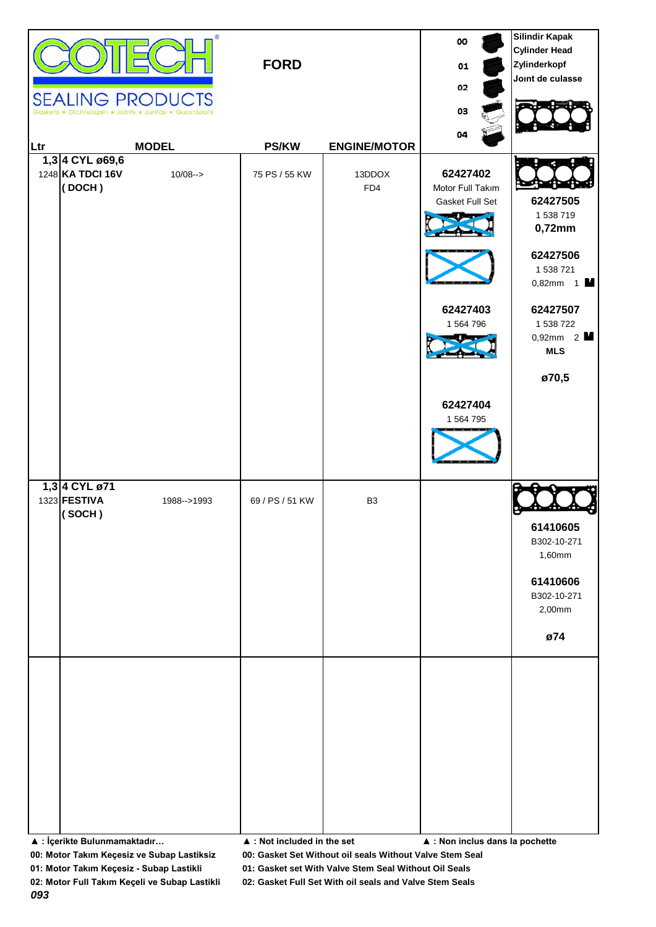|                                                | œ<br><b>SEALING PRODUCTS</b><br>Dichtungen . Joints . Juntas . Guarnizio | <b>FORD</b>                                |                     | oo<br>01<br>02<br>03                                                                              | <b>Silindir Kapak</b><br><b>Cylinder Head</b><br>Zylinderkopf<br>Joint de culasse                                                    |
|------------------------------------------------|--------------------------------------------------------------------------|--------------------------------------------|---------------------|---------------------------------------------------------------------------------------------------|--------------------------------------------------------------------------------------------------------------------------------------|
| Ltr                                            | <b>MODEL</b>                                                             | <b>PS/KW</b>                               | <b>ENGINE/MOTOR</b> | 04                                                                                                |                                                                                                                                      |
| 1,3 4 CYL ø69,6<br>1248 KA TDCI 16V<br>(DOCH)  | $10/08 - >$                                                              | 75 PS / 55 KW                              | 13DDOX<br>FD4       | 62427402<br>Motor Full Takım<br>Gasket Full Set<br>62427403<br>1 564 796<br>62427404<br>1 564 795 | 62427505<br>1 538 719<br>0,72mm<br>62427506<br>1 538 721<br>$0,82mm$ 1<br>62427507<br>1 538 722<br>$0,92mm$ 2<br><b>MLS</b><br>ø70,5 |
| 1,3 4 CYL ø71<br>1323 <b>FESTIVA</b><br>(SOCH) | 1988-->1993                                                              | 69 / PS / 51 KW                            | B <sub>3</sub>      |                                                                                                   | 61410605<br>B302-10-271<br>1,60mm<br>61410606<br>B302-10-271<br>2,00mm<br>ø74                                                        |
| ▲ : İçerikte Bulunmamaktadır                   |                                                                          | $\blacktriangle$ : Not included in the set |                     | ▲ : Non inclus dans la pochette                                                                   |                                                                                                                                      |

**01: Motor Takım Keçesiz - Subap Lastikli 01: Gasket set With Valve Stem Seal Without Oil Seals**

**02: Motor Full Takım Keçeli ve Subap Lastikli 02: Gasket Full Set With oil seals and Valve Stem Seals**

*093*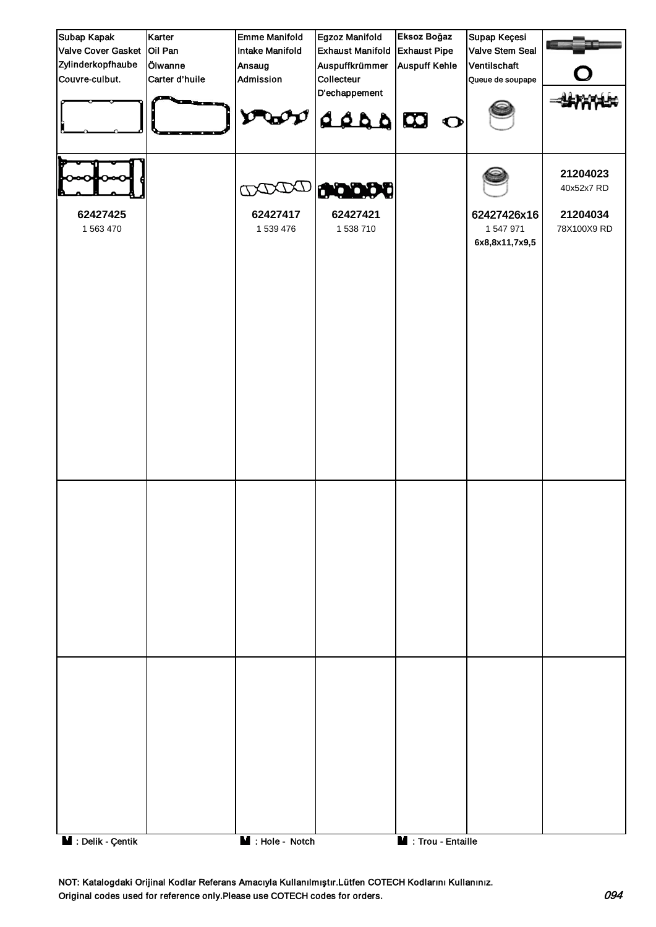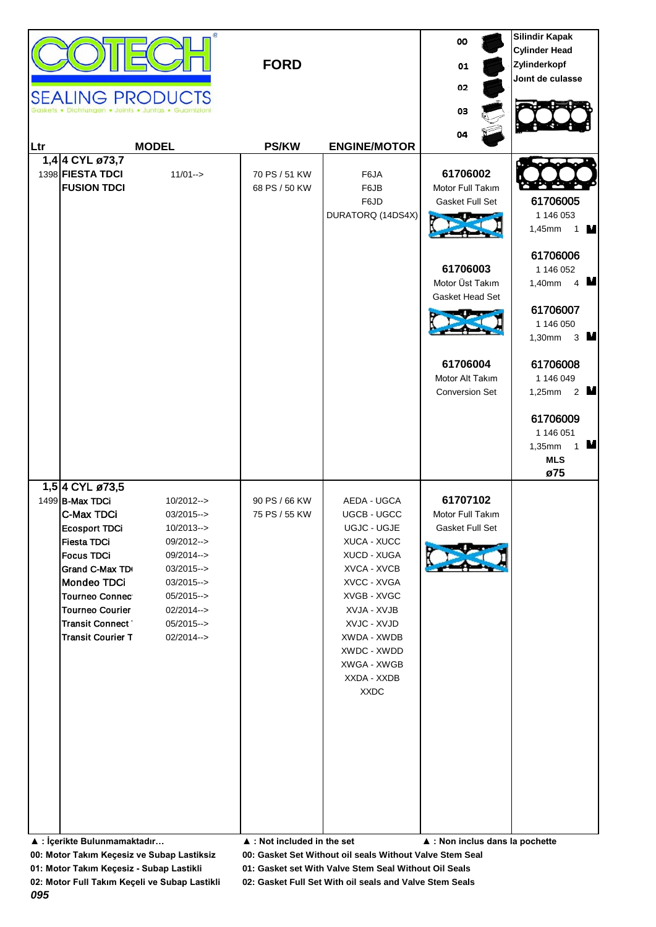| <b>SEALING PRODUCTS</b>                                                                                                                                                                                                                                                     | htungen . Joints . Juntas . Guarnizio                                                                                                                       | <b>FORD</b>                                                   |                                                                                                                                                                                                                               | 00<br>01<br>02<br>03                                                                                                                                      | <b>Silindir Kapak</b><br><b>Cylinder Head</b><br>Zylinderkopf<br>Joint de culasse                                                                                                                                                                                                               |
|-----------------------------------------------------------------------------------------------------------------------------------------------------------------------------------------------------------------------------------------------------------------------------|-------------------------------------------------------------------------------------------------------------------------------------------------------------|---------------------------------------------------------------|-------------------------------------------------------------------------------------------------------------------------------------------------------------------------------------------------------------------------------|-----------------------------------------------------------------------------------------------------------------------------------------------------------|-------------------------------------------------------------------------------------------------------------------------------------------------------------------------------------------------------------------------------------------------------------------------------------------------|
| Ltr                                                                                                                                                                                                                                                                         | <b>MODEL</b>                                                                                                                                                | <b>PS/KW</b>                                                  | <b>ENGINE/MOTOR</b>                                                                                                                                                                                                           | 04                                                                                                                                                        |                                                                                                                                                                                                                                                                                                 |
| 1,4 4 CYL ø73,7<br>1398 FIESTA TDCI<br><b>FUSION TDCI</b><br>1,5 4 CYL ø73,5                                                                                                                                                                                                | $11/01 - >$                                                                                                                                                 | 70 PS / 51 KW<br>68 PS / 50 KW                                | F6JA<br>F6JB<br>F6JD<br>DURATORQ (14DS4X)                                                                                                                                                                                     | 61706002<br>Motor Full Takım<br>Gasket Full Set<br>61706003<br>Motor Üst Takım<br>Gasket Head Set<br>61706004<br>Motor Alt Takım<br><b>Conversion Set</b> | 61706005<br>1 146 053<br>1,45mm<br>1 $\mathbf{V}$<br>61706006<br>1 146 052<br>4 $\blacksquare$<br>1,40mm<br>61706007<br>1 146 050<br>1,30mm<br>$3 \blacksquare$<br>61706008<br>1 146 049<br>2 $\blacksquare$<br>1,25mm<br>61706009<br>1 146 051<br>$\mathbf 1$ M<br>1,35mm<br><b>MLS</b><br>ø75 |
| 1499 B-Max TDCi<br>C-Max TDCi<br><b>Ecosport TDCi</b><br><b>Fiesta TDCi</b><br><b>Focus TDCi</b><br>Grand C-Max TD<br>Mondeo TDCi<br><b>Tourneo Connect</b><br><b>Tourneo Courier</b><br><b>Transit Connect</b><br><b>Transit Courier T</b><br>▲ : İçerikte Bulunmamaktadır | $10/2012--$<br>$03/2015--$<br>$10/2013--$<br>09/2012--><br>09/2014--><br>03/2015--><br>03/2015--><br>$05/2015--$<br>02/2014--><br>$05/2015--$<br>02/2014--> | 90 PS / 66 KW<br>75 PS / 55 KW<br>▲ : Not included in the set | AEDA - UGCA<br>UGCB - UGCC<br>UGJC - UGJE<br>XUCA - XUCC<br>XUCD - XUGA<br>XVCA - XVCB<br>XVCC - XVGA<br>XVGB - XVGC<br>XVJA - XVJB<br>XVJC - XVJD<br>XWDA - XWDB<br>XWDC - XWDD<br>XWGA - XWGB<br>XXDA - XXDB<br><b>XXDC</b> | 61707102<br>Motor Full Takım<br>Gasket Full Set<br>▲ : Non inclus dans la pochette                                                                        |                                                                                                                                                                                                                                                                                                 |

**01: Motor Takım Keçesiz - Subap Lastikli 01: Gasket set With Valve Stem Seal Without Oil Seals**

*095*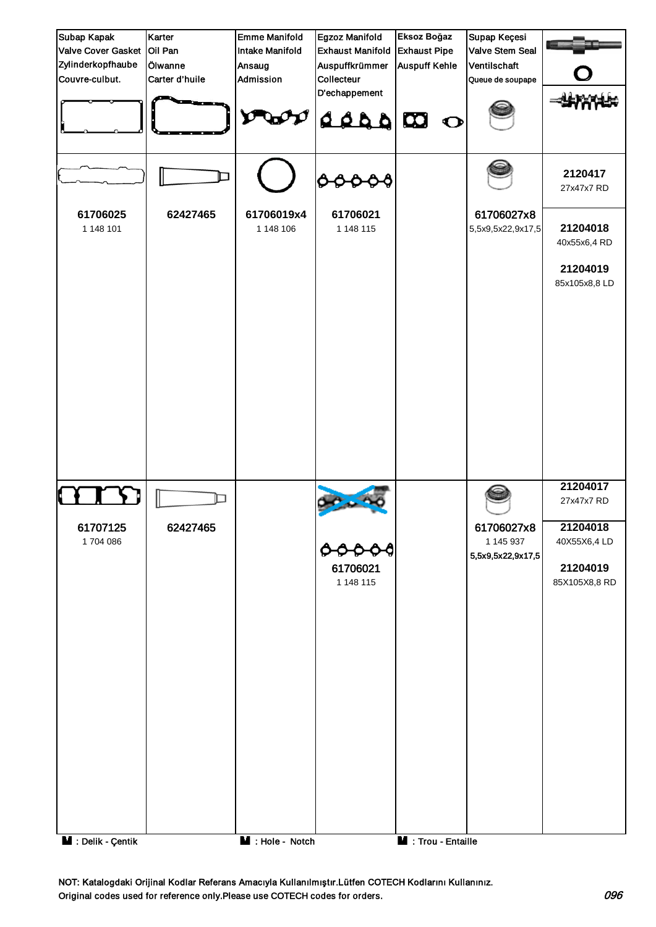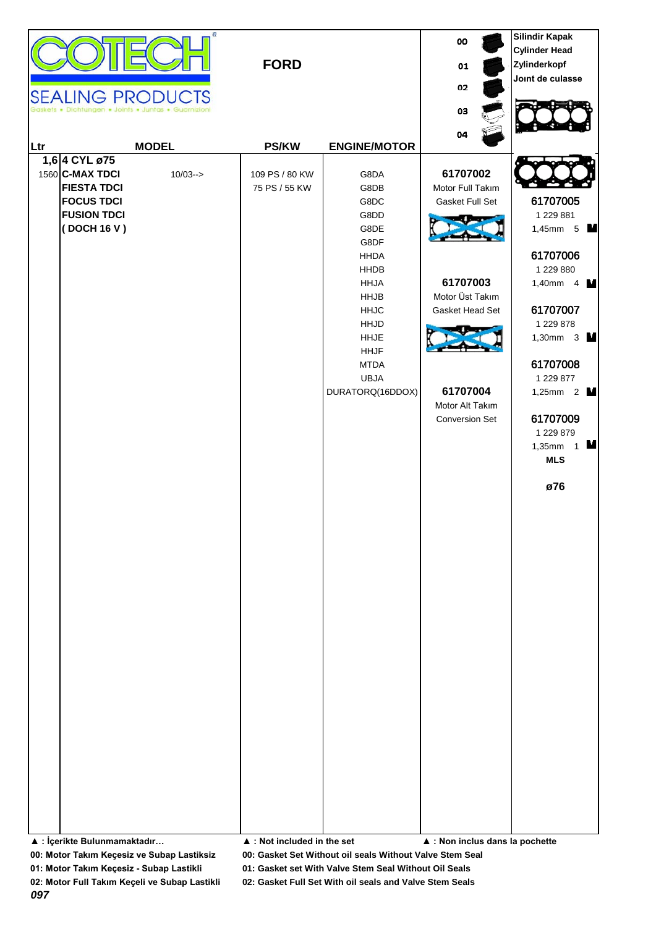

|     |                                                                                                                  | <b>SEALING PRODUCTS</b><br>Dichtungen . Joints . Juntas . Guarnizioni | <b>FORD</b>                     |                                                                                                                                                                                                   | oo<br>01<br>02<br>03                                                                                                                                      | <b>Silindir Kapak</b><br><b>Cylinder Head</b><br>Zylinderkopf<br>Joint de culasse                                                                                                                                                                |
|-----|------------------------------------------------------------------------------------------------------------------|-----------------------------------------------------------------------|---------------------------------|---------------------------------------------------------------------------------------------------------------------------------------------------------------------------------------------------|-----------------------------------------------------------------------------------------------------------------------------------------------------------|--------------------------------------------------------------------------------------------------------------------------------------------------------------------------------------------------------------------------------------------------|
| Ltr |                                                                                                                  | <b>MODEL</b>                                                          | <b>PS/KW</b>                    | <b>ENGINE/MOTOR</b>                                                                                                                                                                               | 04                                                                                                                                                        |                                                                                                                                                                                                                                                  |
|     | 1,6 4 CYL ø75<br>1560 C-MAX TDCI<br><b>FIESTA TDCI</b><br><b>FOCUS TDCI</b><br><b>FUSION TDCI</b><br>(DOCH 16 V) | $10/03 ->$                                                            | 109 PS / 80 KW<br>75 PS / 55 KW | G8DA<br>G8DB<br>G8DC<br>G8DD<br>G8DE<br>G8DF<br><b>HHDA</b><br>HHDB<br><b>HHJA</b><br><b>HHJB</b><br><b>HHJC</b><br>HHJD<br><b>HHJE</b><br><b>HHJF</b><br><b>MTDA</b><br>UBJA<br>DURATORQ(16DDOX) | 61707002<br>Motor Full Takım<br>Gasket Full Set<br>61707003<br>Motor Üst Takım<br>Gasket Head Set<br>61707004<br>Motor Alt Takım<br><b>Conversion Set</b> | 61707005<br>1 229 881<br>1,45mm 5<br>61707006<br>1 229 880<br>1,40mm $4$ M<br>61707007<br>1 229 878<br>1,30mm 3 $\blacksquare$<br>61707008<br>1 229 877<br>1,25mm 2 $\blacksquare$<br>61707009<br>1 229 879<br>1,35mm $1$ M<br><b>MLS</b><br>ø76 |

**▲ : İçerikte Bulunmamaktadır… ▲ : Not included in the set ▲ : Non inclus dans la pochette**

**00: Motor Takım Keçesiz ve Subap Lastiksiz 00: Gasket Set Without oil seals Without Valve Stem Seal**

**01: Motor Takım Keçesiz - Subap Lastikli 01: Gasket set With Valve Stem Seal Without Oil Seals**

**02: Motor Full Takım Keçeli ve Subap Lastikli 02: Gasket Full Set With oil seals and Valve Stem Seals**

*097*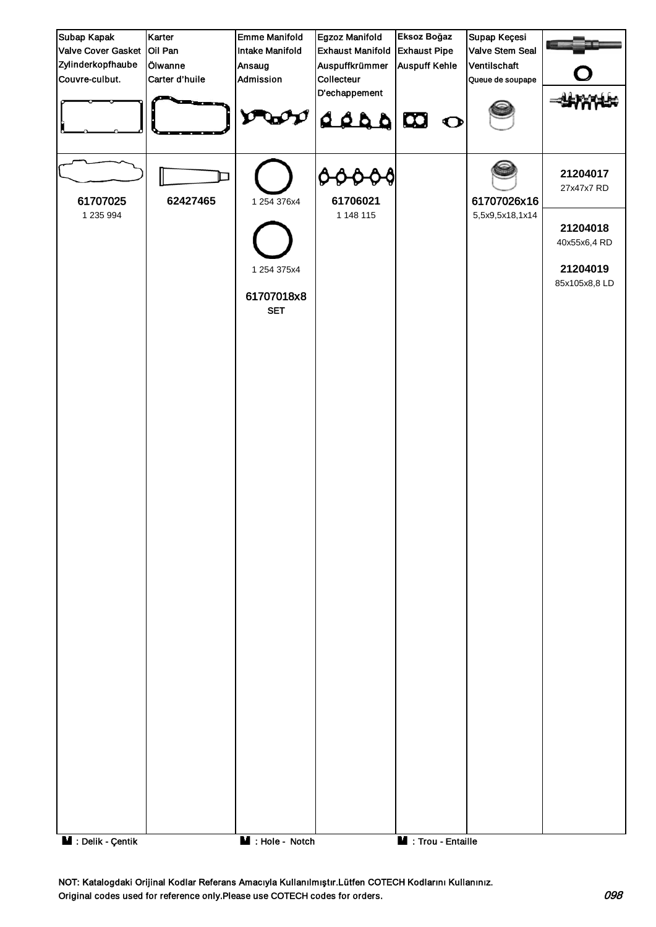

NOT: Katalogdaki Orijinal Kodlar Referans Amacıyla Kullanılmıştır.Lütfen COTECH Kodlarını Kullanınız. Original codes used for reference only.Please use COTECH codes for orders. 098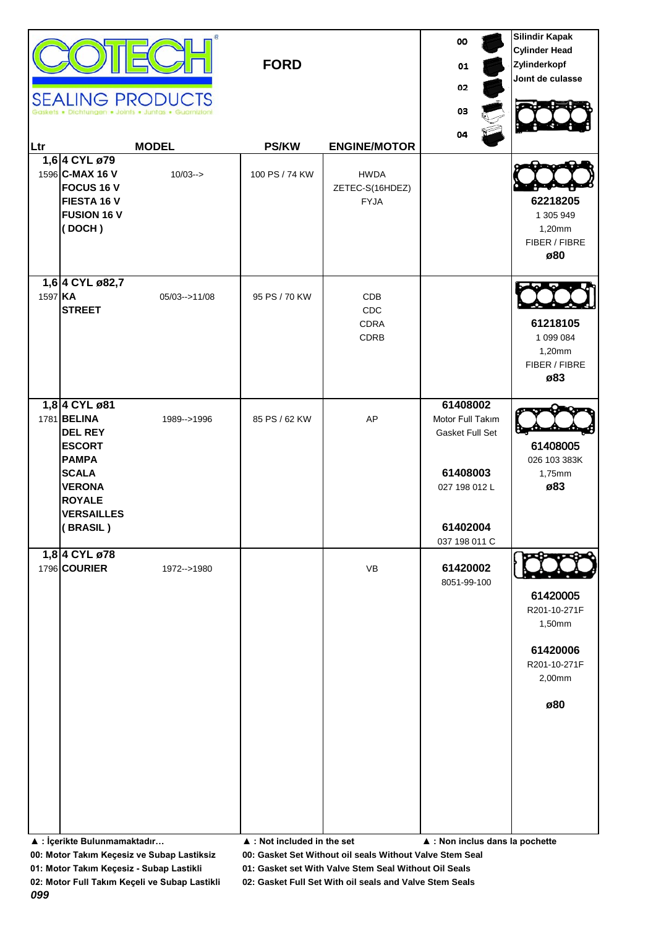| Ltr     | 1,6 4 CYL ø79<br>1596 C-MAX 16 V<br><b>FOCUS 16 V</b><br>FIESTA 16 V<br><b>FUSION 16 V</b><br>(DOCH)                                                               | <b>SEALING PRODUCTS</b><br>Dichfungen • Joints • Juntas • Guarnizio<br><b>MODEL</b><br>$10/03 ->$ | <b>FORD</b><br><b>PS/KW</b><br>100 PS / 74 KW | <b>ENGINE/MOTOR</b><br><b>HWDA</b><br>ZETEC-S(16HDEZ)<br><b>FYJA</b> | 00<br>01<br>02<br>03<br>04                                                                                | <b>Silindir Kapak</b><br><b>Cylinder Head</b><br>Zylinderkopf<br>Joint de culasse<br>62218205<br>1 305 949<br>1,20mm<br>FIBER / FIBRE<br>ø80 |
|---------|--------------------------------------------------------------------------------------------------------------------------------------------------------------------|---------------------------------------------------------------------------------------------------|-----------------------------------------------|----------------------------------------------------------------------|-----------------------------------------------------------------------------------------------------------|----------------------------------------------------------------------------------------------------------------------------------------------|
| 1597 KA | 1,6 4 CYL ø82,7<br><b>STREET</b>                                                                                                                                   | $05/03 - > 11/08$                                                                                 | 95 PS / 70 KW                                 | CDB<br>CDC<br><b>CDRA</b><br>CDRB                                    |                                                                                                           | 61218105<br>1 099 084<br>1,20mm<br>FIBER / FIBRE<br>ø83                                                                                      |
|         | 1,8 4 CYL ø81<br>1781 BELINA<br><b>DEL REY</b><br><b>ESCORT</b><br><b>PAMPA</b><br><b>SCALA</b><br><b>VERONA</b><br><b>ROYALE</b><br><b>VERSAILLES</b><br>(BRASIL) | 1989-->1996                                                                                       | 85 PS / 62 KW                                 | AP                                                                   | 61408002<br>Motor Full Takım<br>Gasket Full Set<br>61408003<br>027 198 012 L<br>61402004<br>037 198 011 C | 61408005<br>026 103 383K<br>1,75mm<br>ø83                                                                                                    |
|         | 1,8 4 CYL ø78<br>1796 COURIER<br>▲ : İçerikte Bulunmamaktadır                                                                                                      | 1972-->1980                                                                                       | ▲ : Not included in the set                   | VB                                                                   | 61420002<br>8051-99-100<br>▲ : Non inclus dans la pochette                                                | 61420005<br>R201-10-271F<br>1,50mm<br>61420006<br>R201-10-271F<br>2,00mm<br>ø80                                                              |

**01: Motor Takım Keçesiz - Subap Lastikli 01: Gasket set With Valve Stem Seal Without Oil Seals**

*099*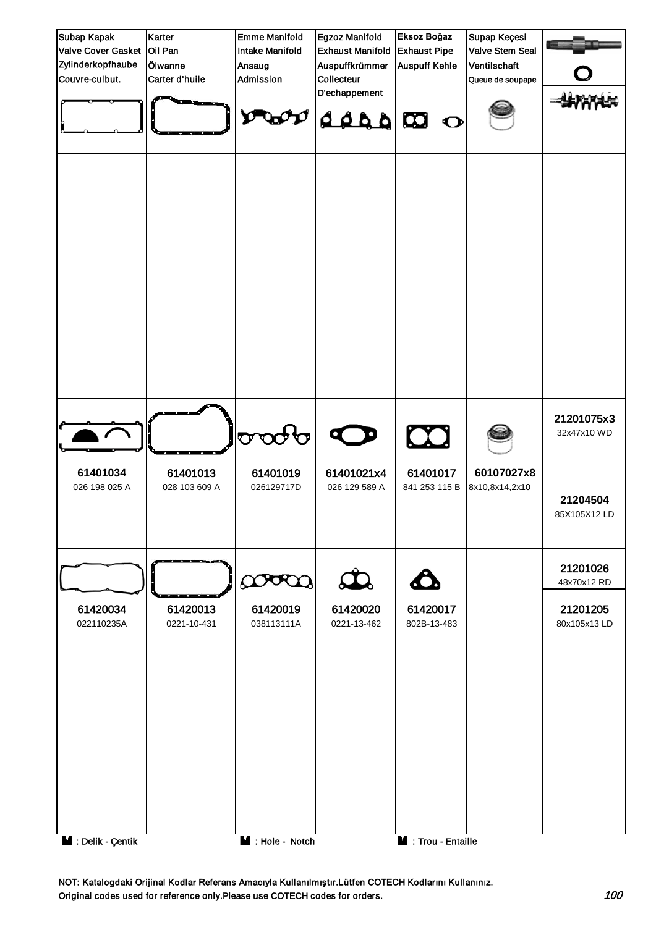

NOT: Katalogdaki Orijinal Kodlar Referans Amacıyla Kullanılmıştır.Lütfen COTECH Kodlarını Kullanınız. Original codes used for reference only.Please use COTECH codes for orders. 100 nm and the state of the state of the state of the state of the state of the state of the state of the state of the state of the state of the st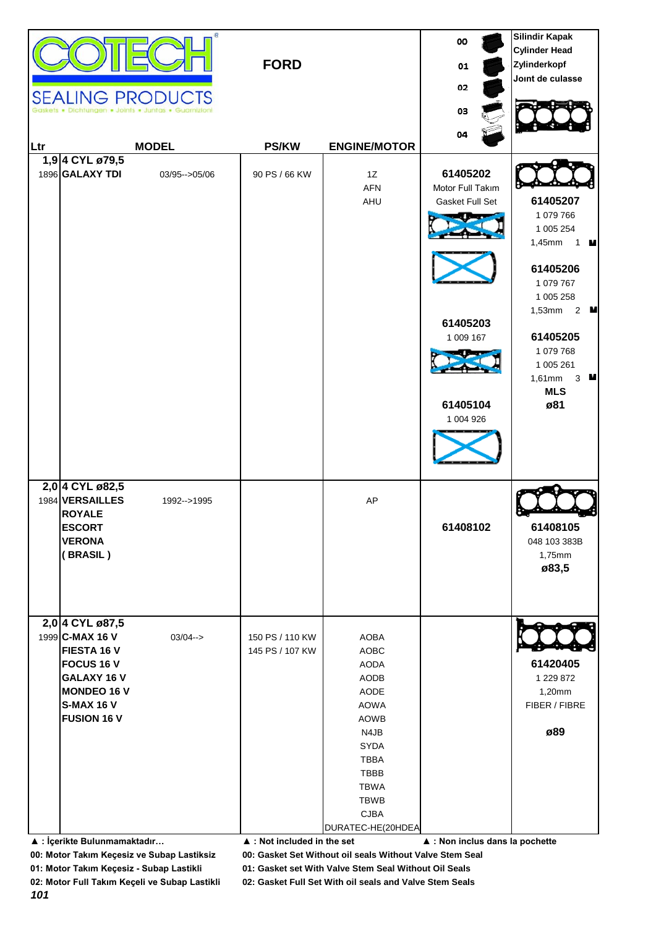| Ltr | 1,94 CYL ø79,5<br>1896 GALAXY TDI                                                                                                                                                      | œ.<br><b>SEALING PRODUCTS</b><br><b>MODEL</b><br>03/95 -- > 05/06 | <b>FORD</b><br><b>PS/KW</b><br>90 PS / 66 KW                                     | <b>ENGINE/MOTOR</b><br>1Z<br><b>AFN</b><br>AHU                                                                                                                              | 00<br>01<br>02<br>03<br>04<br>61405202<br>Motor Full Takım<br>Gasket Full Set<br>61405203<br>1 009 167<br>61405104<br>1 004 926 | <b>Silindir Kapak</b><br><b>Cylinder Head</b><br>Zylinderkopf<br>Joint de culasse<br>61405207<br>1 079 766<br>1 005 254<br>1,45mm 1 <b>M</b><br>61405206<br>1 079 767<br>1 005 258<br>1,53mm $2$ <b>M</b><br>61405205<br>1 079 768<br>1 005 261<br>1,61mm 3 <b>M</b><br><b>MLS</b><br>ø81 |
|-----|----------------------------------------------------------------------------------------------------------------------------------------------------------------------------------------|-------------------------------------------------------------------|----------------------------------------------------------------------------------|-----------------------------------------------------------------------------------------------------------------------------------------------------------------------------|---------------------------------------------------------------------------------------------------------------------------------|-------------------------------------------------------------------------------------------------------------------------------------------------------------------------------------------------------------------------------------------------------------------------------------------|
|     | 2,0 4 CYL ø82,5<br>1984 VERSAILLES<br><b>ROYALE</b><br><b>ESCORT</b><br><b>VERONA</b><br>(BRASIL)                                                                                      | 1992-->1995                                                       |                                                                                  | AP                                                                                                                                                                          | 61408102                                                                                                                        | 61408105<br>048 103 383B<br>1,75mm<br>ø83,5                                                                                                                                                                                                                                               |
|     | 2,0 4 CYL ø87,5<br>1999 C-MAX 16 V<br>FIESTA 16 V<br><b>FOCUS 16 V</b><br>GALAXY 16 V<br><b>MONDEO 16 V</b><br><b>S-MAX 16 V</b><br><b>FUSION 16 V</b><br>▲ : İçerikte Bulunmamaktadır | $03/04 - >$                                                       | 150 PS / 110 KW<br>145 PS / 107 KW<br>$\blacktriangle$ : Not included in the set | AOBA<br>AOBC<br><b>AODA</b><br>AODB<br>AODE<br><b>AOWA</b><br><b>AOWB</b><br>N4JB<br>SYDA<br><b>TBBA</b><br>TBBB<br><b>TBWA</b><br>TBWB<br><b>CJBA</b><br>DURATEC-HE(20HDEA | ▲ : Non inclus dans la pochette                                                                                                 | 61420405<br>1 229 872<br>1,20mm<br>FIBER / FIBRE<br>ø89                                                                                                                                                                                                                                   |

**01: Motor Takım Keçesiz - Subap Lastikli 01: Gasket set With Valve Stem Seal Without Oil Seals**

*101*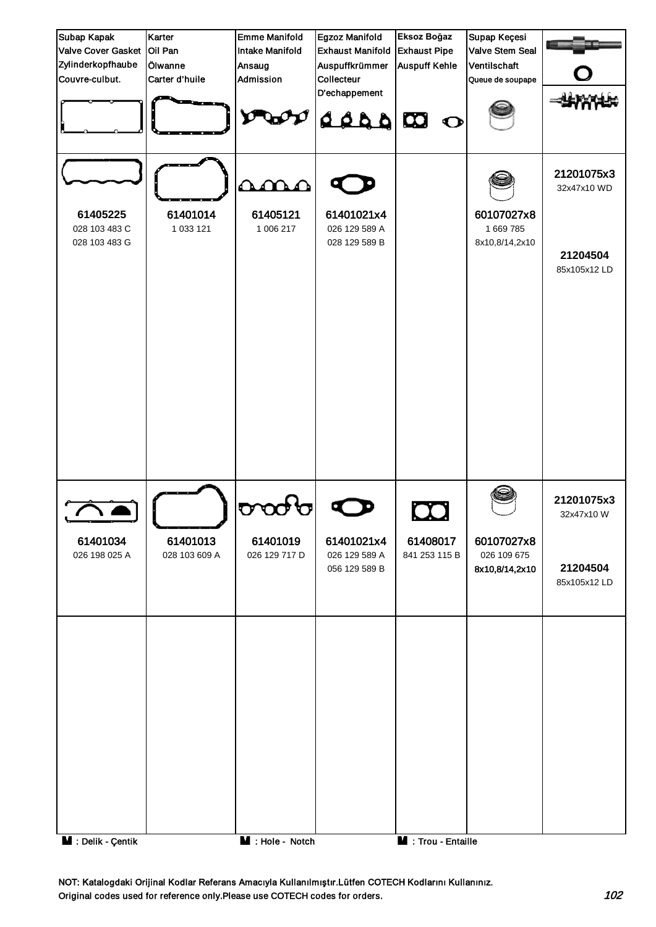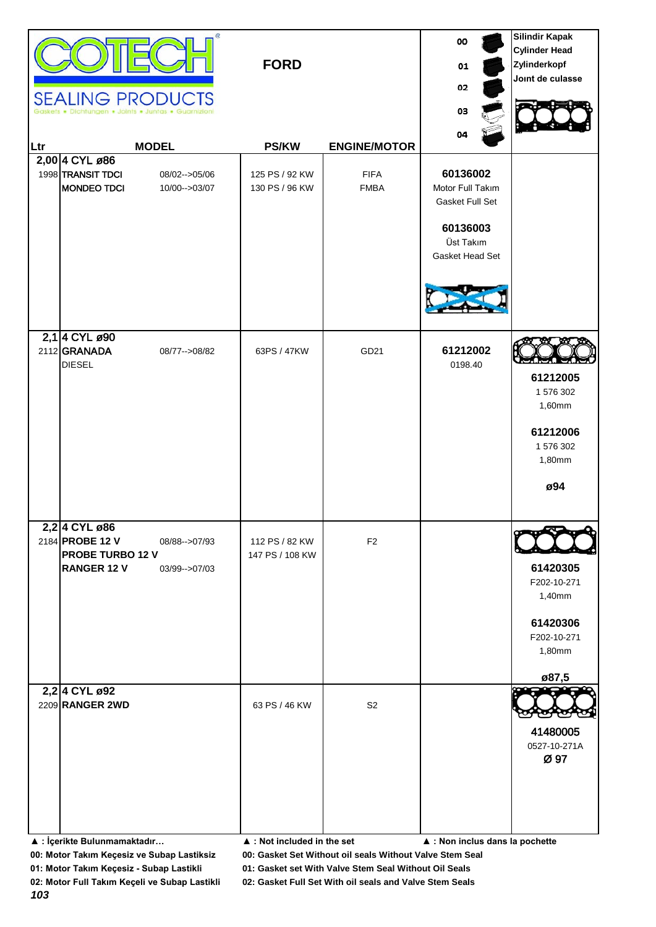|      | œ.<br><b>SEALING PRODUCTS</b><br>Dichtungen . Joints . Juntas . Guarnizio                                          | <b>FORD</b>                                  |                            | 00<br>01<br>02<br>03                                                                        | <b>Silindir Kapak</b><br><b>Cylinder Head</b><br>Zylinderkopf<br>Joint de culasse |
|------|--------------------------------------------------------------------------------------------------------------------|----------------------------------------------|----------------------------|---------------------------------------------------------------------------------------------|-----------------------------------------------------------------------------------|
| ∣Ltr | <b>MODEL</b>                                                                                                       | <b>PS/KW</b>                                 | <b>ENGINE/MOTOR</b>        | 04                                                                                          |                                                                                   |
|      | 2,00 4 CYL ø86<br>1998 TRANSIT TDCI<br>08/02-->05/06<br><b>MONDEO TDCI</b><br>10/00-->03/07                        | 125 PS / 92 KW<br>130 PS / 96 KW             | <b>FIFA</b><br><b>FMBA</b> | 60136002<br>Motor Full Takım<br>Gasket Full Set<br>60136003<br>Üst Takım<br>Gasket Head Set |                                                                                   |
|      | 2,1 4 CYL ø90<br>2112 GRANADA<br>08/77 -- > 08/82<br><b>DIESEL</b>                                                 | 63PS / 47KW                                  | GD21                       | 61212002<br>0198.40                                                                         | 61212005<br>1 576 302                                                             |
|      |                                                                                                                    |                                              |                            |                                                                                             | 1,60mm<br>61212006<br>1 576 302<br>1,80mm<br>ø94                                  |
|      | 2,24 CYL ø86<br>2184 PROBE 12 V<br>08/88-->07/93<br><b>PROBE TURBO 12 V</b><br><b>RANGER 12 V</b><br>03/99-->07/03 | 112 PS / 82 KW<br>147 PS / 108 KW            | F <sub>2</sub>             |                                                                                             | 61420305<br>F202-10-271<br>1,40mm<br>61420306<br>F202-10-271<br>1,80mm<br>ø87,5   |
|      | 2,2 4 CYL ø92<br>2209 RANGER 2WD<br>▲ : İçerikte Bulunmamaktadır                                                   | 63 PS / 46 KW<br>▲ : Not included in the set | S <sub>2</sub>             | ▲ : Non inclus dans la pochette                                                             | 41480005<br>0527-10-271A<br>Ø 97                                                  |

**01: Motor Takım Keçesiz - Subap Lastikli 01: Gasket set With Valve Stem Seal Without Oil Seals**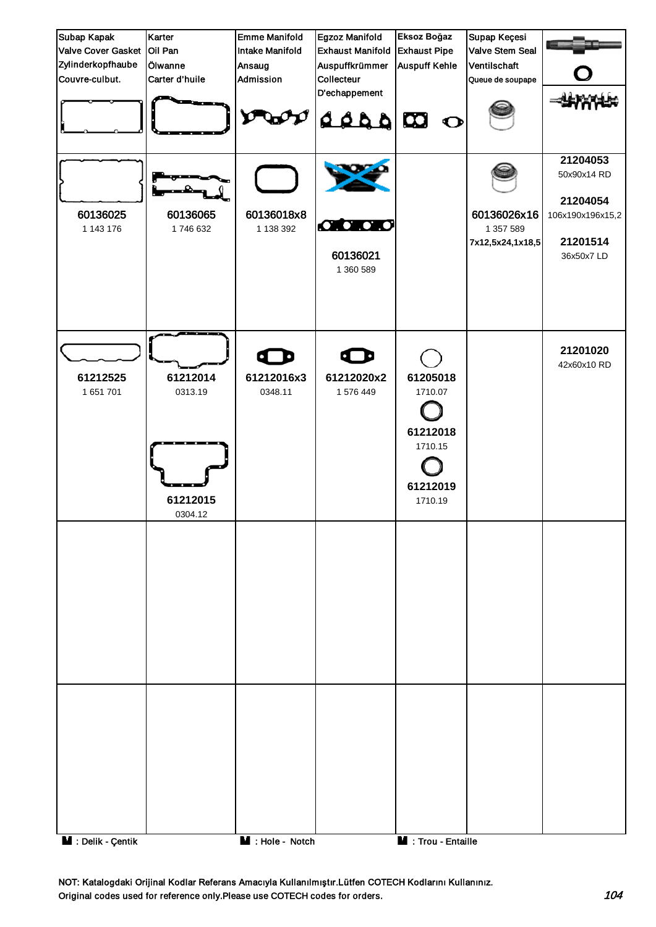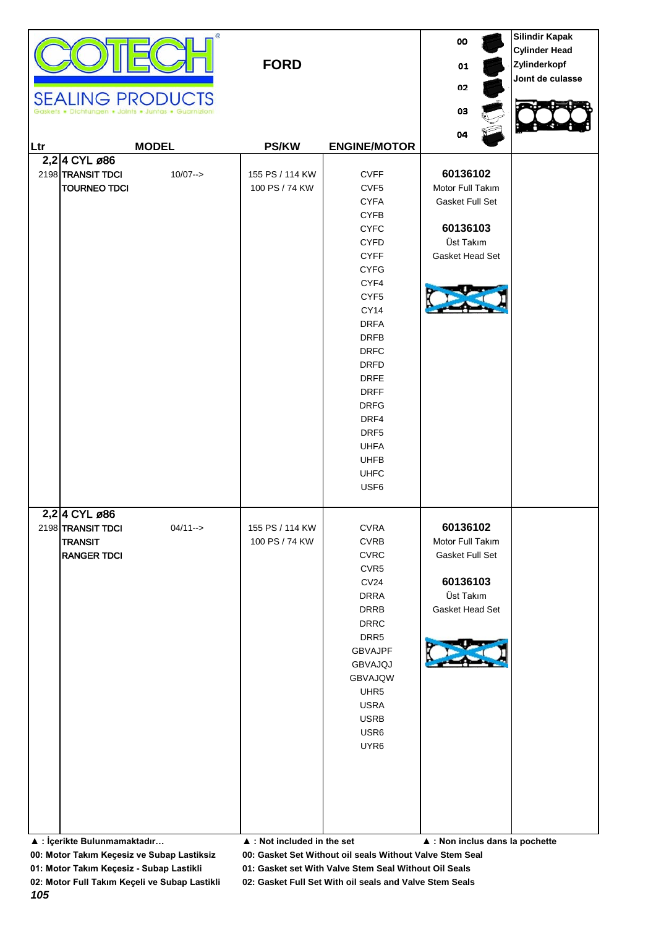| Œ<br><b>SEALING PRODUCTS</b><br>· Dichtungen · Joints · Juntas · Guarnizioni                                              | <b>FORD</b>                                                                     |                                                                                                                                                                                                                                                                                                                                             | oo<br>01<br>02<br>03                                                                                                           | <b>Silindir Kapak</b><br><b>Cylinder Head</b><br>Zylinderkopf<br>Joint de culasse |
|---------------------------------------------------------------------------------------------------------------------------|---------------------------------------------------------------------------------|---------------------------------------------------------------------------------------------------------------------------------------------------------------------------------------------------------------------------------------------------------------------------------------------------------------------------------------------|--------------------------------------------------------------------------------------------------------------------------------|-----------------------------------------------------------------------------------|
| <b>MODEL</b><br>Ltr                                                                                                       | <b>PS/KW</b>                                                                    | <b>ENGINE/MOTOR</b>                                                                                                                                                                                                                                                                                                                         | 04                                                                                                                             |                                                                                   |
| 2,2 4 CYL ø86<br>2198 TRANSIT TDCI<br>$10/07 - >$<br><b>TOURNEO TDCI</b>                                                  | 155 PS / 114 KW<br>100 PS / 74 KW                                               | <b>CVFF</b><br>CVF <sub>5</sub><br><b>CYFA</b><br><b>CYFB</b><br><b>CYFC</b><br><b>CYFD</b><br><b>CYFF</b><br><b>CYFG</b><br>CYF4<br>CYF <sub>5</sub><br>CY14<br><b>DRFA</b><br><b>DRFB</b><br><b>DRFC</b><br><b>DRFD</b><br><b>DRFE</b><br><b>DRFF</b><br><b>DRFG</b><br>DRF4<br>DRF5<br><b>UHFA</b><br><b>UHFB</b><br><b>UHFC</b><br>USF6 | 60136102<br>Motor Full Takım<br>Gasket Full Set<br>60136103<br>Üst Takım<br>Gasket Head Set                                    |                                                                                   |
| 2,2 4 CYL ø86<br>2198 TRANSIT TDCI<br>$04/11 - >$<br><b>TRANSIT</b><br><b>RANGER TDCI</b><br>▲ : İçerikte Bulunmamaktadır | 155 PS / 114 KW<br>100 PS / 74 KW<br>$\blacktriangle$ : Not included in the set | <b>CVRA</b><br><b>CVRB</b><br><b>CVRC</b><br>CVR5<br>CV24<br><b>DRRA</b><br>DRRB<br><b>DRRC</b><br>DRR5<br><b>GBVAJPF</b><br>GBVAJQJ<br>GBVAJQW<br>UHR5<br><b>USRA</b><br><b>USRB</b><br>USR6<br>UYR6                                                                                                                                       | 60136102<br>Motor Full Takım<br>Gasket Full Set<br>60136103<br>Üst Takım<br>Gasket Head Set<br>▲ : Non inclus dans la pochette |                                                                                   |

**01: Motor Takım Keçesiz - Subap Lastikli 01: Gasket set With Valve Stem Seal Without Oil Seals**

*105*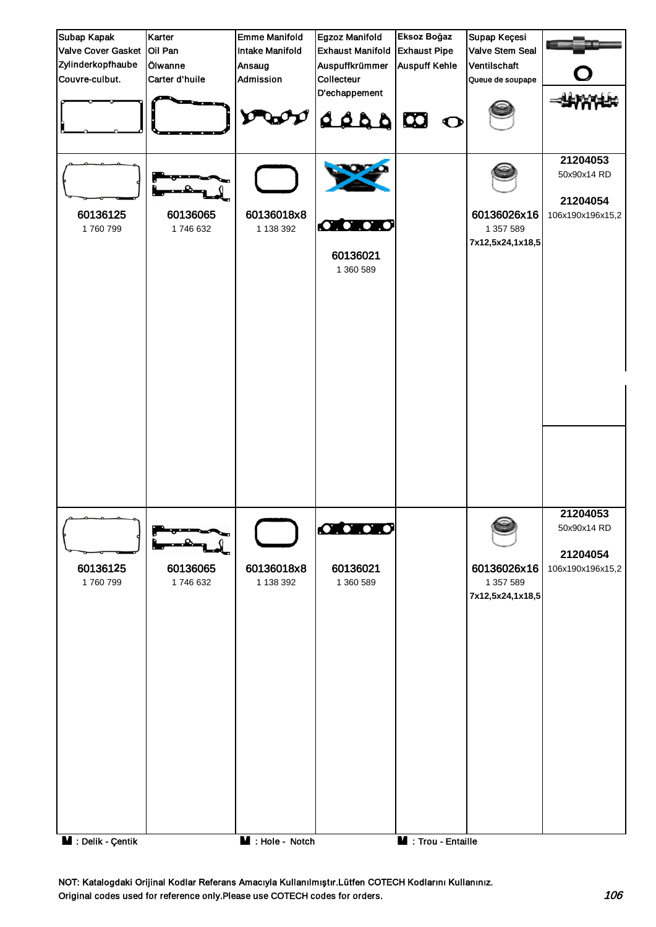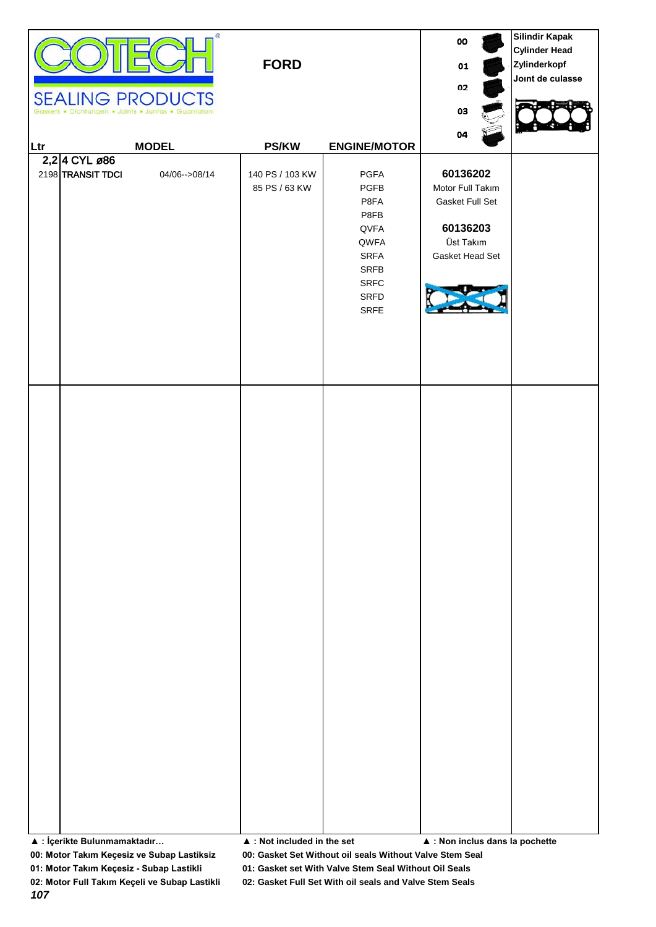| Gask<br>Ltr | <b>SEALING PRODUCTS</b><br>ets . Dichtungen . Joints . Juntas . Guarnizioni<br><b>MODEL</b><br>2,2 4 CYL ø86<br>2198 TRANSIT TDCI<br>04/06-->08/14 | Œ.<br><b>FORD</b><br><b>PS/KW</b><br>140 PS / 103 KW<br>85 PS / 63 KW | <b>ENGINE/MOTOR</b><br>PGFA<br>PGFB<br>P8FA<br>P8FB         | 00<br>01<br>02<br>03<br>04<br>60136202<br>Motor Full Takım<br>Gasket Full Set | <b>Silindir Kapak</b><br><b>Cylinder Head</b><br>Zylinderkopf<br>Joint de culasse |
|-------------|----------------------------------------------------------------------------------------------------------------------------------------------------|-----------------------------------------------------------------------|-------------------------------------------------------------|-------------------------------------------------------------------------------|-----------------------------------------------------------------------------------|
|             |                                                                                                                                                    |                                                                       | QVFA<br>QWFA<br>SRFA<br>SRFB<br><b>SRFC</b><br>SRFD<br>SRFE | 60136203<br>Üst Takım<br>Gasket Head Set                                      |                                                                                   |
|             |                                                                                                                                                    |                                                                       |                                                             |                                                                               |                                                                                   |
|             |                                                                                                                                                    |                                                                       |                                                             |                                                                               |                                                                                   |
|             | ▲ : İçerikte Bulunmamaktadır                                                                                                                       | $\blacktriangle$ : Not included in the set                            |                                                             | $\blacktriangle$ : Non inclus dans la pochette                                |                                                                                   |

**01: Motor Takım Keçesiz - Subap Lastikli 01: Gasket set With Valve Stem Seal Without Oil Seals**

**02: Motor Full Takım Keçeli ve Subap Lastikli 02: Gasket Full Set With oil seals and Valve Stem Seals**

*107*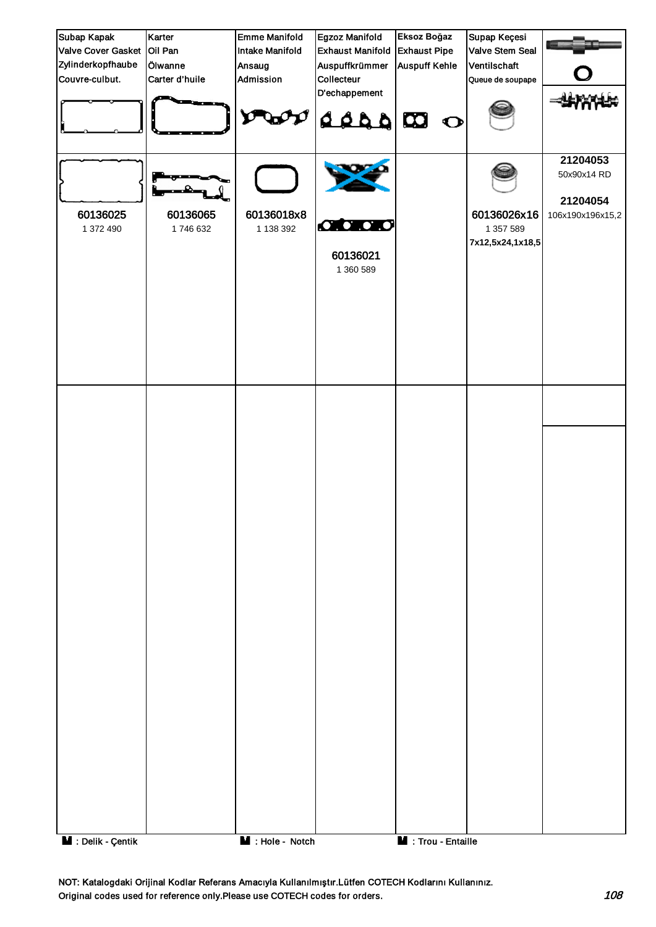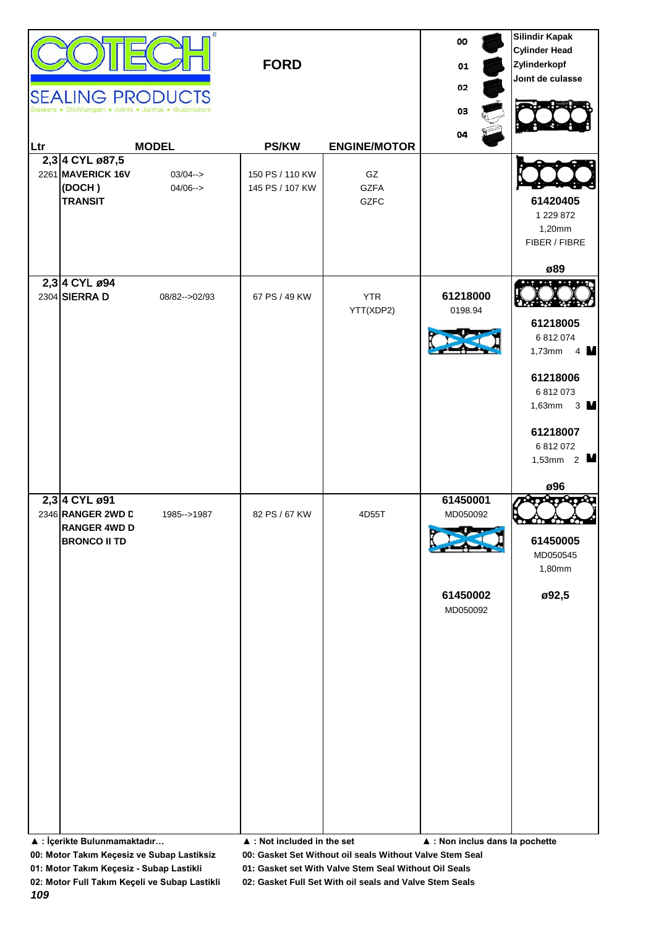|     | <b>SEALING PRODUCTS</b>                                                                                          | Joints . Juntas . Guarnizion | <b>FORD</b>                                  |                                  | 00<br>01<br>02<br>03<br>04                                                      | <b>Silindir Kapak</b><br><b>Cylinder Head</b><br>Zylinderkopf<br>Joint de culasse                                                                   |
|-----|------------------------------------------------------------------------------------------------------------------|------------------------------|----------------------------------------------|----------------------------------|---------------------------------------------------------------------------------|-----------------------------------------------------------------------------------------------------------------------------------------------------|
| Ltr |                                                                                                                  | <b>MODEL</b>                 | <b>PS/KW</b>                                 | <b>ENGINE/MOTOR</b>              |                                                                                 |                                                                                                                                                     |
|     | 2,3 4 CYL ø87,5<br>2261 MAVERICK 16V<br>(DOCH)<br><b>TRANSIT</b>                                                 | $03/04 - >$<br>$04/06 - >$   | 150 PS / 110 KW<br>145 PS / 107 KW           | GZ<br><b>GZFA</b><br><b>GZFC</b> |                                                                                 | 61420405<br>1 229 872<br>1,20mm<br>FIBER / FIBRE<br>ø89                                                                                             |
|     | 2,3 4 CYL ø94<br>2304 SIERRA D                                                                                   | 08/82 -- > 02/93             | 67 PS / 49 KW                                | <b>YTR</b><br>YTT(XDP2)          | 61218000<br>0198.94                                                             | 61218005<br>6 812 074<br>$4 \mathsf{M}$<br>$1,73$ mm<br>61218006<br>6 812 073<br>1,63mm $3 \text{ M}$<br>61218007<br>6 812 072<br>1,53mm $2$<br>ø96 |
|     | 2,3 4 CYL ø91<br>2346 RANGER 2WD L<br><b>RANGER 4WD D</b><br><b>BRONCO II TD</b><br>▲ : İçerikte Bulunmamaktadır | 1985 -- > 1987               | 82 PS / 67 KW<br>▲ : Not included in the set | 4D55T                            | 61450001<br>MD050092<br>61450002<br>MD050092<br>▲ : Non inclus dans la pochette | 61450005<br>MD050545<br>1,80mm<br>ø92,5                                                                                                             |

**01: Motor Takım Keçesiz - Subap Lastikli 01: Gasket set With Valve Stem Seal Without Oil Seals**

*109*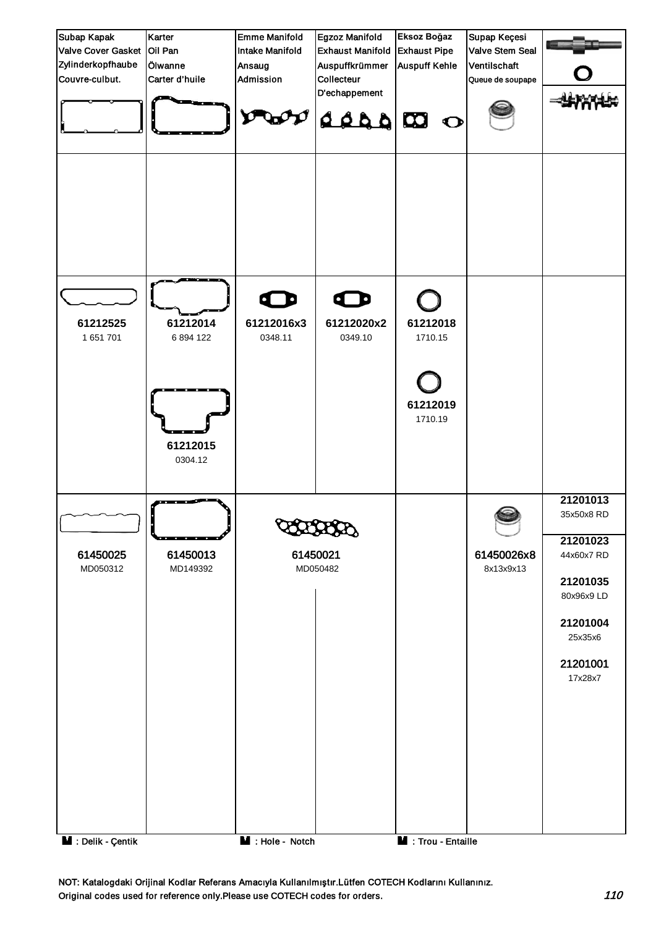

NOT: Katalogdaki Orijinal Kodlar Referans Amacıyla Kullanılmıştır.Lütfen COTECH Kodlarını Kullanınız. Original codes used for reference only.Please use COTECH codes for orders.  $110$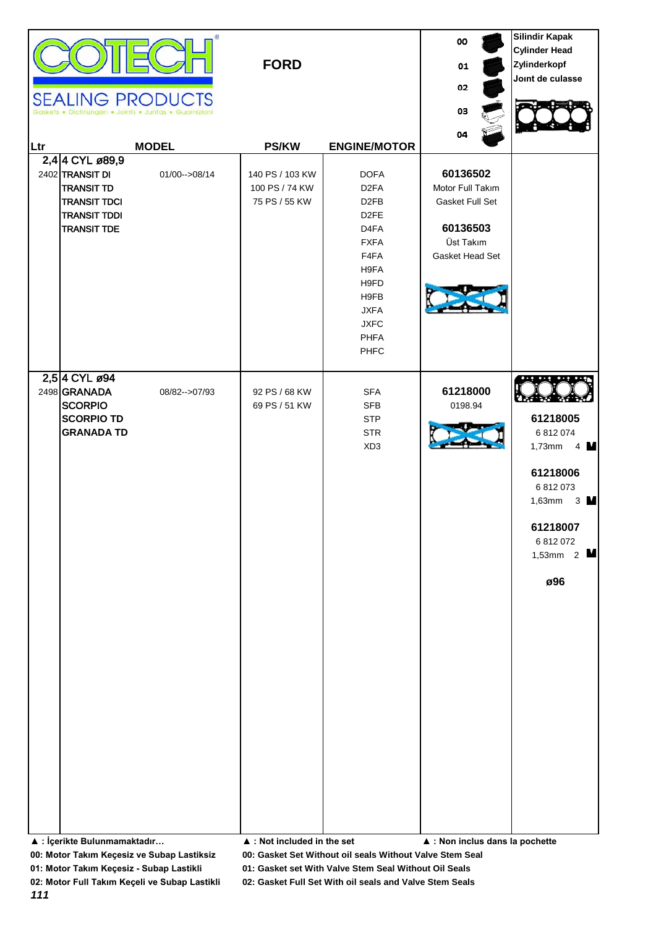| 04<br><b>MODEL</b><br><b>PS/KW</b><br><b>ENGINE/MOTOR</b><br>Ltr<br>2,4 4 CYL ø89,9<br>60136502<br>2402 TRANSIT DI<br><b>DOFA</b><br>01/00-->08/14<br>140 PS / 103 KW<br><b>TRANSIT TD</b><br>100 PS / 74 KW<br>D <sub>2</sub> FA<br>Motor Full Takım<br><b>TRANSIT TDCI</b><br>75 PS / 55 KW<br>D <sub>2FB</sub><br>Gasket Full Set<br><b>TRANSIT TDDI</b><br>D <sub>2</sub> FE<br>60136503<br>D <sub>4FA</sub><br><b>TRANSIT TDE</b><br>Üst Takım<br><b>FXFA</b><br>F4FA<br>Gasket Head Set<br>H9FA<br>H9FD<br>H9FB<br><b>JXFA</b><br><b>JXFC</b><br><b>PHFA</b><br>PHFC<br>2,5 4 CYL ø94<br>2498 GRANADA<br>61218000<br><b>SFA</b><br>08/82 -- > 07/93<br>92 PS / 68 KW<br><b>SCORPIO</b><br>69 PS / 51 KW<br><b>SFB</b><br>0198.94<br>61218005<br><b>SCORPIO TD</b><br><b>STP</b><br><b>GRANADA TD</b><br><b>STR</b><br>6 812 074<br>XD <sub>3</sub><br>$1,73$ mm<br>61218006<br>6 812 073<br>1,63mm<br>61218007<br>6 812 072<br>ø96 |  | <b>SEALING PRODUCTS</b><br>Dichtungen . Joints . Juntas . Guarnizioni | <b>FORD</b> | 00<br>01<br>02<br>03 | <b>Silindir Kapak</b><br><b>Cylinder Head</b><br>Zylinderkopf<br>Joint de culasse |
|------------------------------------------------------------------------------------------------------------------------------------------------------------------------------------------------------------------------------------------------------------------------------------------------------------------------------------------------------------------------------------------------------------------------------------------------------------------------------------------------------------------------------------------------------------------------------------------------------------------------------------------------------------------------------------------------------------------------------------------------------------------------------------------------------------------------------------------------------------------------------------------------------------------------------------------|--|-----------------------------------------------------------------------|-------------|----------------------|-----------------------------------------------------------------------------------|
|                                                                                                                                                                                                                                                                                                                                                                                                                                                                                                                                                                                                                                                                                                                                                                                                                                                                                                                                          |  |                                                                       |             |                      |                                                                                   |
|                                                                                                                                                                                                                                                                                                                                                                                                                                                                                                                                                                                                                                                                                                                                                                                                                                                                                                                                          |  |                                                                       |             |                      |                                                                                   |
| ▲ : İçerikte Bulunmamaktadır<br>▲ : Not included in the set<br>$\blacktriangle$ : Non inclus dans la pochette                                                                                                                                                                                                                                                                                                                                                                                                                                                                                                                                                                                                                                                                                                                                                                                                                            |  |                                                                       |             |                      | $4 \mathsf{M}$<br>$3 \blacksquare$<br>1,53mm $2$ $\blacksquare$                   |

**01: Motor Takım Keçesiz - Subap Lastikli 01: Gasket set With Valve Stem Seal Without Oil Seals**